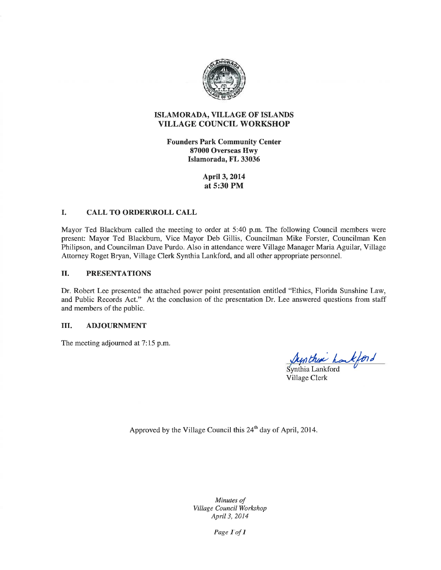

#### ISLAMORADA, VILLAGE OF ISLANDS **VILLAGE COUNCIL WORKSHOP**

**Founders Park Community Center** 87000 Overseas Hwy Islamorada, FL 33036

> **April 3, 2014** at 5:30 PM

#### **CALL TO ORDER\ROLL CALL** I.

Mayor Ted Blackburn called the meeting to order at 5:40 p.m. The following Council members were present: Mayor Ted Blackburn, Vice Mayor Deb Gillis, Councilman Mike Forster, Councilman Ken Philipson, and Councilman Dave Purdo. Also in attendance were Village Manager Maria Aguilar, Village Attorney Roget Bryan, Village Clerk Synthia Lankford, and all other appropriate personnel.

#### Η. **PRESENTATIONS**

Dr. Robert Lee presented the attached power point presentation entitled "Ethics, Florida Sunshine Law, and Public Records Act." At the conclusion of the presentation Dr. Lee answered questions from staff and members of the public.

#### Ш. **ADJOURNMENT**

The meeting adjourned at 7:15 p.m.

Ay the houtford

**Village Clerk** 

Approved by the Village Council this 24<sup>th</sup> day of April, 2014.

Minutes of Village Council Workshop April 3, 2014

Page Tof 1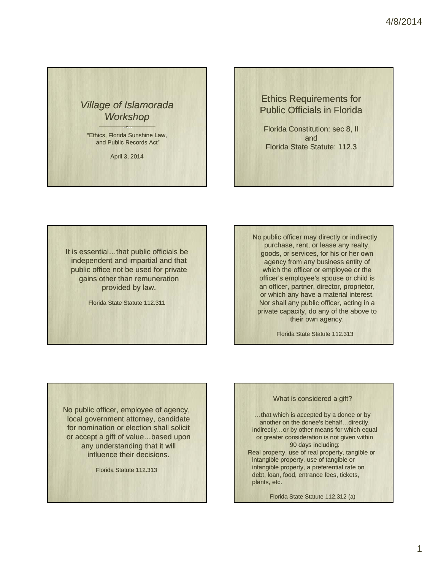### *Village of Islamorada Workshop*

"Ethics, Florida Sunshine Law, and Public Records Act"

April 3, 2014

#### Ethics Requirements for Public Officials in Florida

Florida Constitution: sec 8. II and Florida State Statute: 112.3

It is essential…that public officials be independent and impartial and that public office not be used for private gains other than remuneration provided by law.

Florida State Statute 112.311

providedNo public officer may directly or indirectly purchase, rent, or lease any realty, goods, or services, for his or her own agency from any business entity of which the officer or employee or the officer's employee's spouse or child is an officer, partner, director, proprietor, or which any have a material interest. Nor shall any public officer, acting in a private capacity, do any of the above to their own agency. provided by law. an officer, or which a<br>Florida State Statute 112.311 Nor shall a<br>private cap<br>Florid<br>The public officer, employee of agency,

Florida State Statute 112.313

local government attorney, candidate for nomination or election shall solicit or accept a gift of value…based upon any understanding that it will influence their decisions.

Florida Statute 112.313

#### What is considered a gift?

…that which is accepted by a donee or by another on the donee's behalf…directly, indirectly…or by other means for which equal or greater consideration is not given within 90 days including: Real property, use of real property, tangible or intangible property, use of tangible or intangible property, a preferential rate on debt, loan, food, entrance fees, tickets, plants, etc.

Florida State Statute 112.312 (a)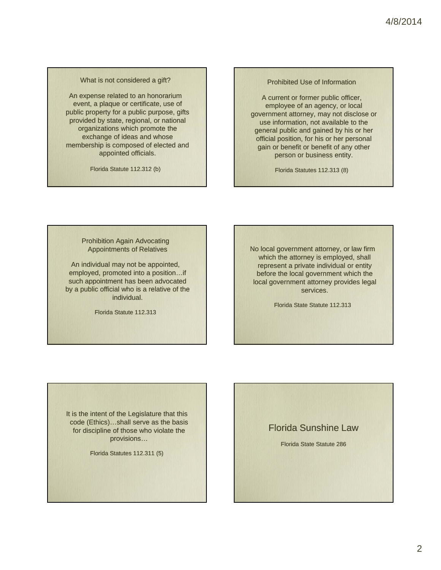#### What is not considered a gift?

An expense related to an honorarium event, a plaque or certificate, use of public property for a public purpose, gifts provided by state, regional, or national organizations which promote the exchange of ideas and whose membership is composed of elected and appointed officials. Vinat is not considered a gift?<br>
expense related to an honorarium<br>
vent, a plaque or certificate, use of<br>
ic property for a public purpose, gifts<br>
vided by state, regional, or national<br>
organizations which promote the<br>
sta

Florida Statute 112.312 (b)

A current or former public officer, employee of an agency, or local government attorney, may not disclose or use information, not available to the general public and gained by his or her official position, for his or her personal gain or benefit or benefit of any other person or business entity.

Florida Statutes 112.313 (8)

Prohibition Again Advocating Appointments of Relatives

An individual may not be appointed, employed, promoted into a position…if such appointment has been advocated by a public official who is a relative of the individual.

Florida Statute 112.313

No local government attorney, or law firm which the attorney is employed, shall represent a private individual or entity before the local government which the local government attorney provides legal<br>services.

Florida State Statute 112.313

It is the intent of the Legislature that this code (Ethics)…shall serve as the basis for discipline of those who violate the provisions…

Florida Statutes 112.311 (5)

#### Florida Sunshine Law

Florida State Statute 286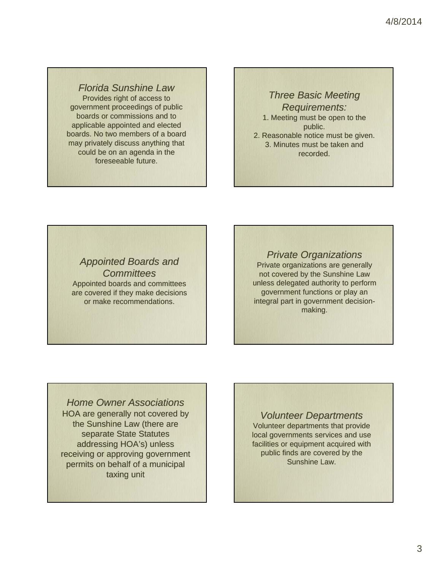*Florida Sunshine Law*

Provides right of access to government proceedings of public boards or commissions and to applicable appointed and elected boards. No two members of a board may privately discuss anything that could be on an agenda in the foreseeable future.

#### *Three Basic Meeting Requirements:* 1. Meeting must be open to the public. 2. Reasonable notice must be given.

3. Minutes must be taken and recorded.

*Appointed Boards and Committees* Appointed boards and committees are covered if they make decisions or make recommendations.

# *Private Organizations*

Private organizations are generally not covered by the Sunshine Law unless delegated authority to perform government functions or play an integral part in government decisionmaking.

*Home Owner Associations* HOA are generally not covered by the Sunshine Law (there are separate State Statutes addressing HOA's) unless receiving or approving government permits on behalf of a municipal taxing unit

ally not covered by<br> **Example 19 Example 20 Example 20 Example 20 Example 20 Example 20 Example 20 Example 20 Example 20 Example 20 Example 20 Example 20 Example 20 Example 20 Example 20 Example 20 Example 20 Example 20 Ex** Volunteer departments that provide local governments services and use facilities or equipment acquired with public finds are covered by the Sunshine Law.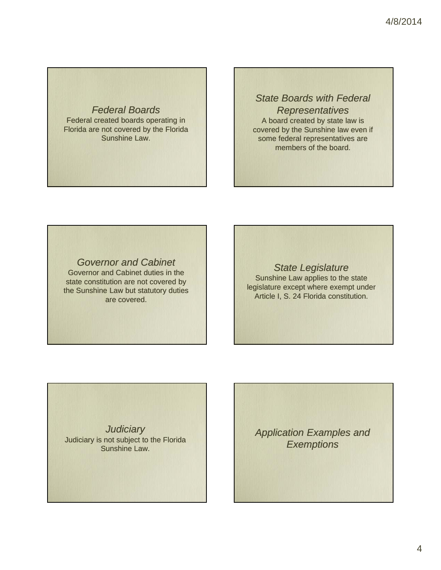#### *Federal Boards*

Federal created boards operating in Florida are not covered by the Florida Sunshine Law.

*State Boards with Federal Representatives* A board created by state law is covered by the Sunshine law even if some federal representatives are members of the board.

*Governor and Cabinet*

Governor and Cabinet duties in the state constitution are not covered by the Sunshine Law but statutory duties are covered.

#### *State Legislature*

Sunshine Law applies to the state legislature except where exempt under Article I, S. 24 Florida constitution.

*Judiciary* Judiciary is not subject to the Florida Judiciary j Sunshine Law.

*Application Examples and Exemptions*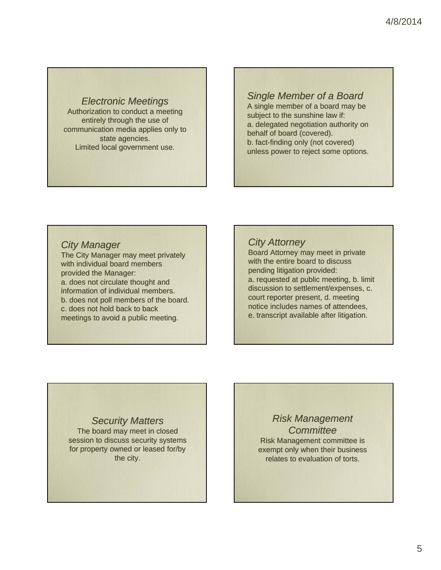#### *Electronic Meetings*

Authorization to conduct a meeting entirely through the use of communication media applies only to state agencies. Limited local government use.

Electronic Meetings<br>
Authorization to conduct a meeting<br>
entirely through the use of<br>
communication media applies only to<br>
a. delegated negotiation authority communication media applies only to<br>
a bobbit of board (covered) A single member of a board may be subject to the sunshine law if: a. delegated negotiation authority on<br>behalf of board (covered). b. fact-finding only (not covered) unless power to reject some options.

#### *City Manager*

The City Manager may meet privately with individual board members provided the Manager: a. does not circulate thought and information of individual members. b. does not poll members of the board. c. does not hold back to back meetings to avoid a public meeting.

#### *City Attorney*

Board Attorney may meet in private with the entire board to discuss pending litigation provided: a. requested at public meeting, b. limit discussion to settlement/expenses, c. court reporter present, d. meeting notice includes names of attendees, e. transcript available after litigation.

#### *Security Matters*

The board may meet in closed session to discuss security systems for property owned or leased for/by the city.

#### *Risk Management Committee*

Risk Management committee is exempt only when their business relates to evaluation of torts.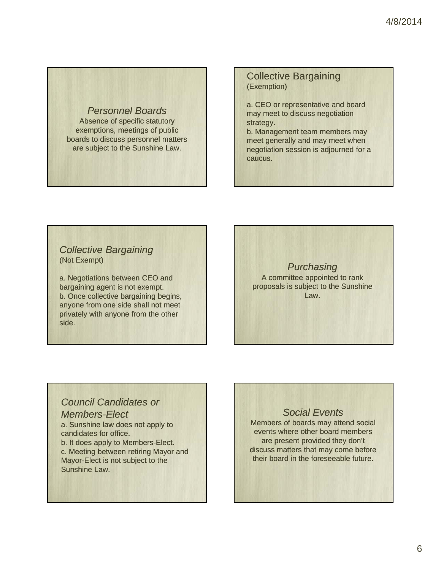#### *Personnel Boards*

Absence of specific statutory exemptions, meetings of public boards to discuss personnel matters are subject to the Sunshine Law.

#### Collective Bargaining (Exemption)

a. CEO or representative and board may meet to discuss negotiation strategy.

b. Management team members may meet generally and may meet when negotiation session is adjourned for a caucus.

#### *Collective Bargaining* (Not Exempt)

a. Negotiations between CEO and bargaining agent is not exempt. b. Once collective bargaining begins, anyone from one side shall not meet privately with anyone from the other side.

## *Purchasing*

A committee appointed to rank proposals is subject to the Sunshine Law.

# *Council Candidates or Members-Elect*

a. Sunshine law does not apply to candidates for office.

b. It does apply to Members-Elect. c. Meeting between retiring Mayor and Mayor-Elect is not subject to the Sunshine Law.

### *Social Events*

Members of boards may attend social events where other board members are present provided they don't discuss matters that may come before their board in the foreseeable future.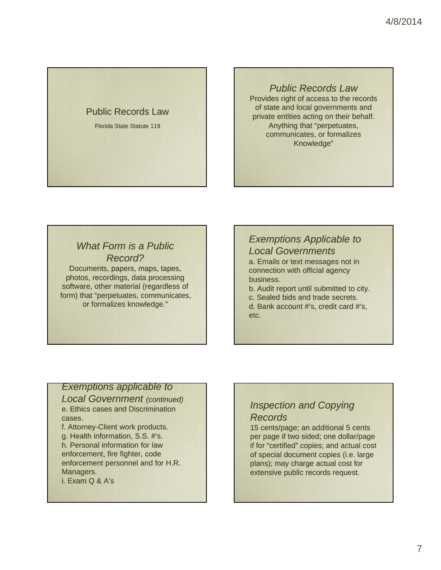#### Public Records Law

Florida State Statute 119

*Public Records Law* Provides right of access to the records of state and local governments and private entities acting on their behalf. Anything that "perpetuates, communicates, or formalizes Knowledge"

# *What Form is a Public Record?*

Documents, papers, maps, tapes, photos, recordings, data processing software, other material (regardless of form) that "perpetuates, communicates, or formalizes knowledge." **Exemptions Applicable to**<br> **Record?**<br>
Documents, papers, maps, tapes,<br>
photos, recordings, data processing<br>
software, other material (regardless of<br>
b Audit report until submitted to cit

# *Local Governments*

- a. Emails or text messages not in connection with official agency business.
- b. Audit report until submitted to city. c. Sealed bids and trade secrets.
- d. Bank account #'s, credit card #'s, etc.

#### *Exemptions applicable to*

*Local Government (continued)*

e. Ethics cases and Discrimination cases.

f. Attorney-Client work products.

g. Health information, S.S. #'s.

h. Personal information for law enforcement, fire fighter, code enforcement personnel and for H.R. Managers.

i. Exam Q & A's

### *Inspection and Copying Records*

15 cents/page; an additional 5 cents per page if two sided; one dollar/page if for "certified" copies; and actual cost of special document copies (i.e. large plans); may charge actual cost for extensive public records request.